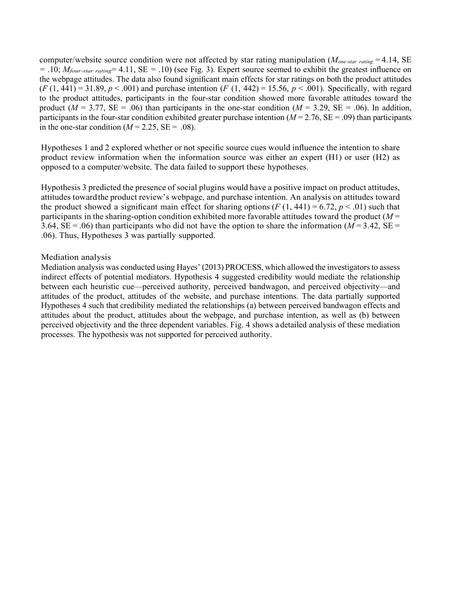computer/website source condition were not affected by star rating manipulation (*Mone-star rating* = 4.14, SE *=* .10; *Mfour-star rating*= 4.11, SE *=* .10) (see [Fig. 3\)](#page-12-0). Expert source seemed to exhibit the greatest influence on the webpage attitudes. The data also found significant main effects for star ratings on both the product attitudes  $(F (1, 441) = 31.89, p < .001)$  and purchase intention  $(F (1, 442) = 15.56, p < .001)$ . Specifically, with regard to the product attitudes, participants in the four-star condition showed more favorable attitudes toward the product (*M* = 3.77, SE = .06) than participants in the one-star condition (*M* = 3.29, SE = .06). In addition, participants in the four-star condition exhibited greater purchase intention (*M* = 2.76, SE = .09) than participants in the one-star condition  $(M = 2.25, SE = .08)$ .

 Hypotheses 1 and 2 explored whether or not specific source cues would influence the intention to share product review information when the information source was either an expert (H1) or user (H2) as opposed to a computer/website. The data failed to support these hypotheses.

 Hypothesis 3 predicted the presence of social plugins would have a positive impact on product attitudes, attitudes towardthe product review's webpage, and purchase intention. An analysis on attitudes toward the product showed a significant main effect for sharing options  $(F(1, 441) = 6.72, p < .01)$  such that participants in the sharing-option condition exhibited more favorable attitudes toward the product (*M* = 3.64,  $SE = .06$ ) than participants who did not have the option to share the information ( $M = 3.42$ ,  $SE =$ .06). Thus, Hypotheses 3 was partially supported.

#### Mediation analysis

 Mediation analysis was conducted using [Hayes'](#page-17-0) (2013) PROCESS, which allowed the investigators to assess indirect effects of potential mediators. Hypothesis 4 suggested credibility would mediate the relationship Hypotheses 4 such that credibility mediated the relationships (a) between perceived bandwagon effects and attitudes about the product, attitudes about the webpage, and purchase intention, as well as (b) between perceived objectivity and the three dependent variables. Fig. 4 shows a detailed analysis of these mediation processes. The hypothesis was not supported for perceived authority. between each heuristic cue—perceived authority, perceived bandwagon, and perceived objectivity—and attitudes of the product, attitudes of the website, and purchase intentions. The data partially supported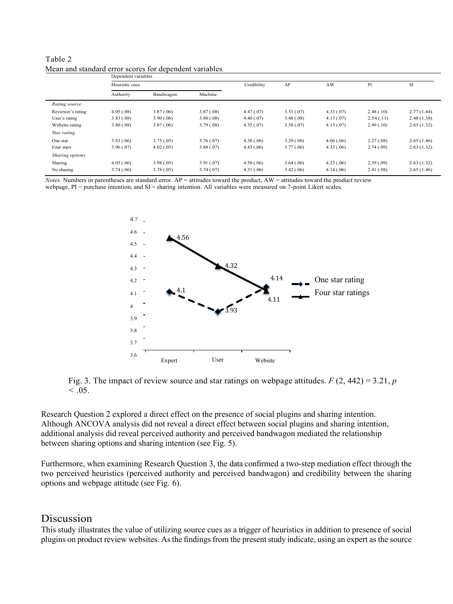Mean and standard error scores for dependent variables. Table 2

|                   | Dependent variables |           |            |             |           |                        |            |            |
|-------------------|---------------------|-----------|------------|-------------|-----------|------------------------|------------|------------|
|                   | Heuristic cues      |           |            | Credibility | AP        | $\mathbf{A}\mathbf{W}$ | PI         | SI         |
|                   | Authority           | Bandwagon | Machine    |             |           |                        |            |            |
| Rating source     |                     |           |            |             |           |                        |            |            |
| Reviewer's rating | 4.05(.08)           | 3.87(.06) | 3.87(.08)  | 4.47(.07)   | 3.53(.07) | 4.33(.07)              | 2.48(.10)  | 2.77(1.44) |
| User's rating     | 3.83(.08)           | 3.90(.06) | 3.80(.08)  | 4.40(0.07)  | 3.48(.08) | 4.13(.07)              | 2.54(0.11) | 2.48(1.38) |
| Website rating    | 3.80(.08)           | 3.87(.06) | 3.79(0.08) | 4.35(.07)   | 3.58(.07) | 4.13(0.07)             | 2.49(0.10) | 2.65(1.32) |
| Star rating       |                     |           |            |             |           |                        |            |            |
| One star          | 3.83(0.06)          | 3.75(.05) | 3.76(.07)  | 4.38(.06)   | 3.29(.06) | 4.06(.06)              | 2.27(.08)  | 2.65(1.46) |
| Four stars        | 3.96(.07)           | 4.02(.05) | 3.88(.07)  | 4.43(0.06)  | 3.77(.06) | 4.33(0.06)             | 2.74(0.09) | 2.63(1.32) |
| Sharing options   |                     |           |            |             |           |                        |            |            |
| Sharing           | 4.05(0.06)          | 3.98(.05) | 3.91(.07)  | 4.50(.06)   | 3.64(.06) | 4.25(.06)              | 2.59(.09)  | 2.63(1.32) |
| No sharing        | 3.74(0.06)          | 3.78(.05) | 3.74(0.07) | 4.31(.06)   | 3.42(.06) | 4.14(.06)              | 2.41(.08)  | 2.65(1.46) |

*Notes*. Numbers in parentheses are standard error. AP = attitudes toward the product, AW = attitudes toward the product review

<span id="page-12-0"></span>webpage, PI = purchase intention, and SI = sharing intention. All variables were measured on 7-point Likert scales.



Fig. 3. The impact of review source and star ratings on webpage attitudes.  $F(2, 442) = 3.21$ ,  $p$  $< 0.05$ .

 Research Question 2 explored a direct effect on the presence of social plugins and sharing intention. between sharing options and sharing intention (see Fig. 5). Although ANCOVA analysis did not reveal a direct effect between social plugins and sharing intention, additional analysis did reveal perceived authority and perceived bandwagon mediated the relationship

 Furthermore, when examining Research Question 3, the data confirmed a two-step mediation effect through the options and webpage attitude (see [Fig. 6\)](#page-15-0). two perceived heuristics (perceived authority and perceived bandwagon) and credibility between the sharing

## Discussion

 This study illustrates the value of utilizing source cues as a trigger of heuristics in addition to presence of social plugins on product review websites. As the findings from the present study indicate, using an expert as the source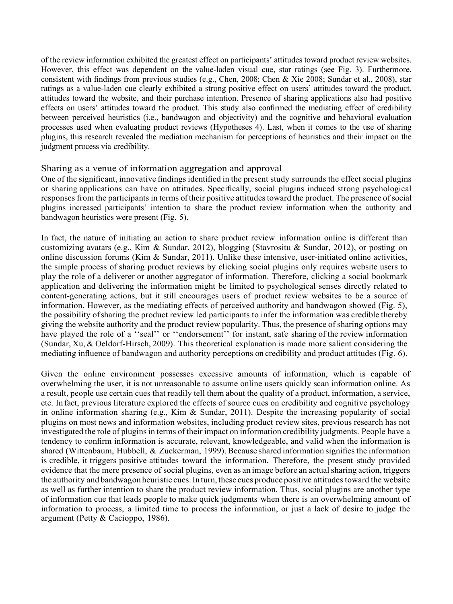of the review information exhibited the greatest effect on participants' attitudes toward product review websites. However, this effect was dependent on the value-laden visual cue, star ratings (see [Fig. 3\)](#page-12-0). Furthermore, consistent with findings from previous studies (e.g., [Chen, 2008; Chen & Xie 2008; Sundar et al., 2008\)](#page-16-0), star ratings as a value-laden cue clearly exhibited a strong positive effect on users' attitudes toward the product, attitudes toward the website, and their purchase intention. Presence of sharing applications also had positive effects on users' attitudes toward the product. This study also confirmed the mediating effect of credibility between perceived heuristics (i.e., bandwagon and objectivity) and the cognitive and behavioral evaluation processes used when evaluating product reviews (Hypotheses 4). Last, when it comes to the use of sharing plugins, this research revealed the mediation mechanism for perceptions of heuristics and their impact on the judgment process via credibility.

# Sharing as a venue of information aggregation and approval

 One of the significant, innovative findings identified in the present study surrounds the effect social plugins or sharing applications can have on attitudes. Specifically, social plugins induced strong psychological responses from the participants in terms of their positive attitudes toward the product. The presence of social plugins increased participants' intention to share the product review information when the authority and bandwagon heuristics were present (Fig. 5).

 In fact, the nature of initiating an action to share product review information online is different than customizing avatars (e.g., [Kim & Sundar, 2012\)](#page-16-0), blogging [\(Stavrositu & Sundar, 2012\)](#page-16-1), or posting on the simple process of sharing product reviews by clicking social plugins only requires website users to play the role of a deliverer or another aggregator of information. Therefore, clicking a social bookmark application and delivering the information might be limited to psychological senses directly related to content-generating actions, but it still encourages users of product review websites to be a source of the possibility ofsharing the product review led participants to infer the information was credible thereby giving the website authority and the product review popularity. Thus, the presence of sharing options may have played the role of a ''seal'' or ''endorsement'' for instant, safe sharing of the review information (Sundar, Xu, & Oeldorf-Hirsch, 2009). This theoretical explanation is made more salient considering the mediating influence of bandwagon and authority perceptions on credibility and product attitudes [\(Fig. 6\)](#page-15-0). online discussion forums [\(Kim & Sundar, 2011\)](#page-16-0). Unlike these intensive, user-initiated online activities, information. However, as the mediating effects of perceived authority and bandwagon showed (Fig. 5),

 overwhelming the user, it is not unreasonable to assume online users quickly scan information online. As a result, people use certain cues that readily tell them about the quality of a product, information, a service, etc. In fact, previous literature explored the effects of source cues on credibility and cognitive psychology in online information sharing (e.g., [Kim & Sundar, 2011\)](#page-16-0). Despite the increasing popularity of social plugins on most news and information websites, including product review sites, previous research has not investigated the role of plugins in terms of their impact on information credibility judgments. People have a tendency to confirm information is accurate, relevant, knowledgeable, and valid when the information is shared (Wittenbaum, Hubbell, & Zuckerman, 1999). Because shared information signifies the information is credible, it triggers positive attitudes toward the information. Therefore, the present study provided evidence that the mere presence of social plugins, even as an image before an actual sharing action, triggers the authority and bandwagon heuristic cues. In turn, these cues produce positive attitudes toward the website as well as further intention to share the product review information. Thus, social plugins are another type of information cue that leads people to make quick judgments when there is an overwhelming amount of information to process, a limited time to process the information, or just a lack of desire to judge the Given the online environment possesses excessive amounts of information, which is capable of argument [\(Petty & Cacioppo, 1986\)](#page-16-2).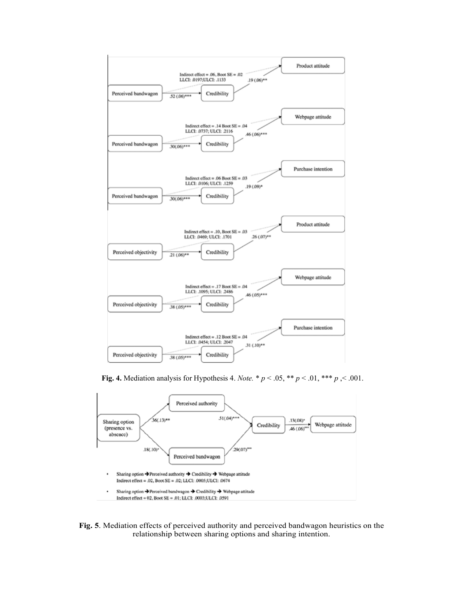

**Fig. 4.** Mediation analysis for Hypothesis 4. *Note.*  $* p < .05, ** p < .01, *** p, < .001$ .



 **Fig. 5**. Mediation effects of perceived authority and perceived bandwagon heuristics on the relationship between sharing options and sharing intention.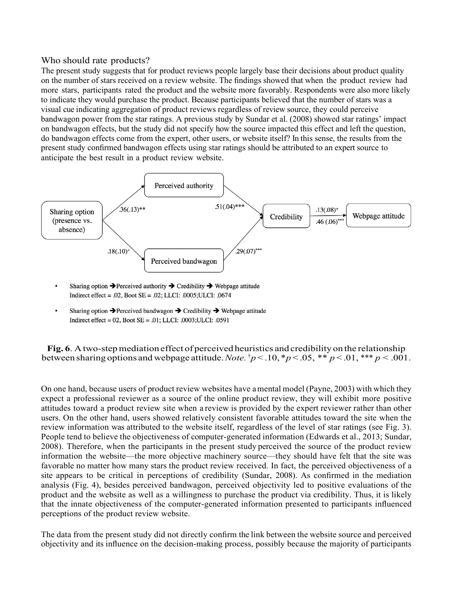#### Who should rate products?

 The present study suggests that for product reviews people largely base their decisions about product quality on the number of stars received on a review website. The findings showed that when the product review had more stars, participants rated the product and the website more favorably. Respondents were also more likely bandwagon power from the star ratings. A previous study by [Sundar et al. \(2008\)](#page-17-1) showed star ratings' impact do bandwagon effects come from the expert, other users, or website itself? In this sense, the results from the present study confirmed bandwagon effects using star ratings should be attributed to an expert source to anticipate the best result in a product review website. to indicate they would purchase the product. Because participants believed that the number of stars was a visual cue indicating aggregation of product reviews regardless of review source, they could perceive on bandwagon effects, but the study did not specify how the source impacted this effect and left the question,



- Sharing option  $\rightarrow$  Perceived authority  $\rightarrow$  Credibility  $\rightarrow$  Webpage attitude Indirect effect = .02, Boot SE = .02; LLCI: .0005; ULCI: .0674
- Sharing option  $\rightarrow$  Perceived bandwagon  $\rightarrow$  Credibility  $\rightarrow$  Webpage attitude Indirect effect =  $02$ , Boot SE = .01; LLCI: .0003; ULCI: .0591

<span id="page-15-0"></span> **Fig. 6**. A two-step mediation effect of perceived heuristics and credibility on the relationship between sharing options and webpage attitude. *Note*.  $\frac{1}{7}p < 0.10$ ,  $\frac{1}{7}p < 0.05$ ,  $\frac{1}{7}p < 0.01$ ,  $\frac{1}{7}p < 0.001$ .

 On one hand, because users of product review websites have a mental model [\(Payne, 2003\)](#page-16-3) with which they expect a professional reviewer as a source of the online product review, they will exhibit more positive attitudes toward a product review site when a review is provided by the expert reviewer rather than other users. On the other hand, users showed relatively consistent favorable attitudes toward the site when the [2008\)](#page-16-4). Therefore, when the participants in the present study perceived the source of the product review information the website—the more objective machinery source—they should have felt that the site was favorable no matter how many stars the product review received. In fact, the perceived objectiveness of a site appears to be critical in perceptions of credibility [\(Sundar, 2008\)](#page-17-2). As confirmed in the mediation analysis (Fig. 4), besides perceived bandwagon, perceived objectivity led to positive evaluations of the product and the website as well as a willingness to purchase the product via credibility. Thus, it is likely that the innate objectiveness of the computer-generated information presented to participants influenced perceptions of the product review website. review information was attributed to the website itself, regardless of the level of star ratings (see [Fig. 3\)](#page-12-0). People tend to believe the objectiveness of computer-generated information [\(Edwards et al., 2013; Sundar,](#page-16-4) 

 The data from the present study did not directly confirm the link between the website source and perceived objectivity and its influence on the decision-making process, possibly because the majority of participants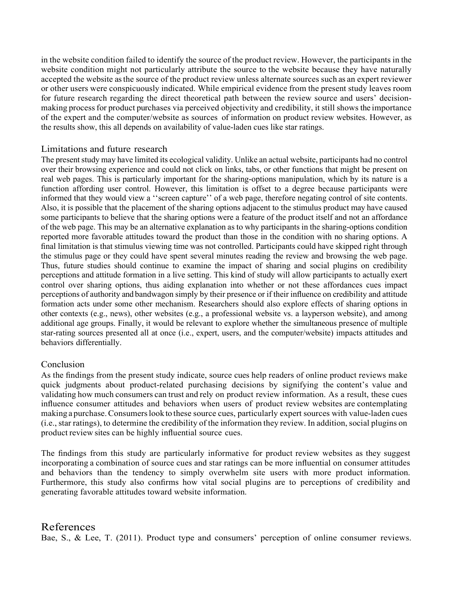in the website condition failed to identify the source of the product review. However, the participants in the website condition might not particularly attribute the source to the website because they have naturally accepted the website as the source of the product review unless alternate sources such as an expert reviewer or other users were conspicuously indicated. While empirical evidence from the present study leaves room for future research regarding the direct theoretical path between the review source and users' decision- making process for product purchases via perceived objectivity and credibility, it still shows the importance of the expert and the computer/website as sources of information on product review websites. However, as the results show, this all depends on availability of value-laden cues like star ratings.

### Limitations and future research

 real web pages. This is particularly important for the sharing-options manipulation, which by its nature is a informed that they would view a ''screen capture'' of a web page, therefore negating control of site contents. reported more favorable attitudes toward the product than those in the condition with no sharing options. A final limitation is that stimulus viewing time was not controlled. Participants could have skipped right through the stimulus page or they could have spent several minutes reading the review and browsing the web page. control over sharing options, thus aiding explanation into whether or not these affordances cues impact perceptions of authority and bandwagon simply by their presence or if their influence on credibility and attitude other contexts (e.g., news), other websites (e.g., a professional website vs. a layperson website), and among additional age groups. Finally, it would be relevant to explore whether the simultaneous presence of multiple The present study may have limited its ecological validity. Unlike an actual website, participants had no control over their browsing experience and could not click on links, tabs, or other functions that might be present on function affording user control. However, this limitation is offset to a degree because participants were Also, it is possible that the placement of the sharing options adjacent to the stimulus product may have caused some participants to believe that the sharing options were a feature of the product itself and not an affordance of the web page. This may be an alternative explanation as to why participants in the sharing-options condition Thus, future studies should continue to examine the impact of sharing and social plugins on credibility perceptions and attitude formation in a live setting. This kind of study will allow participants to actually exert formation acts under some other mechanism. Researchers should also explore effects of sharing options in star-rating sources presented all at once (i.e., expert, users, and the computer/website) impacts attitudes and behaviors differentially.

### Conclusion

<span id="page-16-0"></span> As the findings from the present study indicate, source cues help readers of online product reviews make quick judgments about product-related purchasing decisions by signifying the content's value and validating how much consumers can trust and rely on product review information. As a result, these cues influence consumer attitudes and behaviors when users of product review websites are contemplating making a purchase. Consumers look to these source cues, particularly expert sources with value-laden cues (i.e., star ratings), to determine the credibility of the information they review. In addition, social plugins on product review sites can be highly influential source cues.

<span id="page-16-3"></span> The findings from this study are particularly informative for product review websites as they suggest incorporating a combination of source cues and star ratings can be more influential on consumer attitudes Furthermore, this study also confirms how vital social plugins are to perceptions of credibility and and behaviors than the tendency to simply overwhelm site users with more product information. generating favorable attitudes toward website information.

## <span id="page-16-4"></span><span id="page-16-2"></span>References

<span id="page-16-1"></span>Bae, S., & Lee, T. (2011). Product type and consumers' perception of online consumer reviews.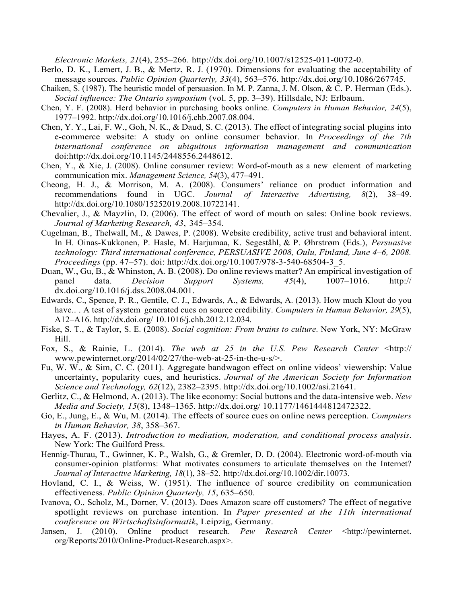<span id="page-17-1"></span><span id="page-17-0"></span>*Electronic Markets, 21*(4), 255–266. [http://dx.doi.org/10.1007/s12525-011-0072-0.](http://dx.doi.org/10.1007/s12525-011-0072-0)

- Berlo, D. K., Lemert, J. B., & Mertz, R. J. (1970). Dimensions for evaluating the acceptability of message sources. *Public Opinion Quarterly, 33*(4), 563–576. [http://dx.doi.org/10.1086/267745.](http://dx.doi.org/10.1086/267745)
- [Chaiken, S. \(1987\). The heuristic model of persuasion. In M. P. Zanna, J. M. Olson, & C. P. Herman \(Eds.\).](http://refhub.elsevier.com/S0747-5632(15)00179-X/h0015)   *Social influence: The [Ontario symposium](http://refhub.elsevier.com/S0747-5632(15)00179-X/h0015)* (vol. 5, pp. 3–39)[. Hillsdale, NJ: Erlbaum.](http://refhub.elsevier.com/S0747-5632(15)00179-X/h0015)
- Chen, Y. F. (2008). Herd behavior in purchasing books online. *Computers in Human Behavior, 24*(5), 1977–1992. [http://dx.doi.org/10.1016/j.chb.2007.08.004.](http://dx.doi.org/10.1016/j.chb.2007.08.004)
- Chen, Y. Y., Lai, F. W., Goh, N. K., & Daud, S. C. (2013). The effect of integrating social plugins into e-commerce website: A study on online consumer behavior. In *Proceedings of the 7th international conference on ubiquitous information management and communication*  doi:http://dx.doi.org/10.1145/2448556.2448612.
- <span id="page-17-2"></span> [Chen, Y., & Xie, J. \(2008\). Online consumer review: Word-of-mouth as a new element of marketing](http://refhub.elsevier.com/S0747-5632(15)00179-X/h0030)  communication mix. *[Management Science, 54](http://refhub.elsevier.com/S0747-5632(15)00179-X/h0030)*(3), [477–491.](http://refhub.elsevier.com/S0747-5632(15)00179-X/h0030)
- Cheong, H. J., & Morrison, M. A. (2008). Consumers' reliance on product information and recommendations found in UGC. *Journal of Interactive Advertising, 8*(2), 38–49. [http://dx.doi.org/10.1080/15252019.2008.10722141.](http://dx.doi.org/10.1080/15252019.2008.10722141)
- [Chevalier, J., & Mayzlin, D. \(2006\). The effect of word of mouth on sales: Online book reviews.](http://refhub.elsevier.com/S0747-5632(15)00179-X/h0040)  *[Journal of Marketing Research, 43](http://refhub.elsevier.com/S0747-5632(15)00179-X/h0040)*, 345–354.
- *technology: Third international conference, PERSUASIVE 2008, Oulu, Finland, June 4–6, 2008.*  Cugelman, B., Thelwall, M., & Dawes, P. (2008). Website credibility, active trust and behavioral intent. In H. Oinas-Kukkonen, P. Hasle, M. Harjumaa, K. Segeståhl, & P. Øhrstrøm (Eds.), *Persuasive Proceedings* (pp. 47–57). doi: [http://dx.doi.org/10.1007/978-3-540-68504-3\\_5.](http://dx.doi.org/10.1007/978-3-540-68504-3_5)
- Duan, W., Gu, B., & Whinston, A. B. (2008). Do online reviews matter? An empirical investigation of panel data. *Decision Support Systems, 45*(4), 1007–1016. [http://](http://dx.doi.org/10.1016/j.dss.2008.04.001)  [dx.doi.org/10.1016/j.dss.2008.04.001.](http://dx.doi.org/10.1016/j.dss.2008.04.001)
- have.. . A test of system generated cues on source credibility. *Computers in Human Behavior, 29*(5), Edwards, C., Spence, P. R., Gentile, C. J., Edwards, A., & Edwards, A. (2013). How much Klout do you A12–A16. [http://dx.doi.org/ 10.1016/j.chb.2012.12.034.](http://dx.doi.org/10.1016/j.chb.2012.12.034)
- [Fiske, S. T., & Taylor, S. E. \(2008\).](http://refhub.elsevier.com/S0747-5632(15)00179-X/h0060) *Social cognition: From brains to culture*. New York, [NY: McGraw](http://refhub.elsevier.com/S0747-5632(15)00179-X/h0060)  [Hill.](http://refhub.elsevier.com/S0747-5632(15)00179-X/h0060)
- Fox, S., & Rainie, L. (2014). *The web at 25 in the U.S. Pew Research Center* [<http://](http://www.pewinternet.org/2014/02/27/the-web-at-25-in-the-u-s/)  [www.pewinternet.org/2014/02/27/the-web-at-25-in-the-u-s/>](http://www.pewinternet.org/2014/02/27/the-web-at-25-in-the-u-s/).
- Fu, W. W., & Sim, C. C. (2011). Aggregate bandwagon effect on online videos' viewership: Value uncertainty, popularity cues, and heuristics. *Journal of the American Society for Information Science and Technology, 62*(12), 2382–2395. [http://dx.doi.org/10.1002/asi.21641.](http://dx.doi.org/10.1002/asi.21641)
- Gerlitz, C., & Helmond, A. (2013). The like economy: Social buttons and the data-intensive web. *New Media and Society, 15*(8), 1348–1365. [http://dx.doi.org/ 10.1177/1461444812472322.](http://dx.doi.org/10.1177/1461444812472322)
- [Go, E., Jung, E., & Wu, M. \(2014\). The effects of source cues on online news perception.](http://refhub.elsevier.com/S0747-5632(15)00179-X/h0080) *Computers [in Human Behavior, 38](http://refhub.elsevier.com/S0747-5632(15)00179-X/h0080)*, 358–367.
- Hayes, A. F. (2013). *[Introduction to mediation, moderation, and conditional process analysis](http://refhub.elsevier.com/S0747-5632(15)00179-X/h0085)*. [New York: The Guilford Press.](http://refhub.elsevier.com/S0747-5632(15)00179-X/h0085)
- Hennig-Thurau, T., Gwinner, K. P., Walsh, G., & Gremler, D. D. (2004). Electronic word-of-mouth via consumer-opinion platforms: What motivates consumers to articulate themselves on the Internet?  *Journal of Interactive Marketing, 18*(1), 38–52. [http://dx.doi.org/10.1002/dir.10073.](http://dx.doi.org/10.1002/dir.10073)
- Hovland, C. I., & Weiss, W. (1951). The influence of source [credibility on](http://refhub.elsevier.com/S0747-5632(15)00179-X/h0095) [communication](http://refhub.elsevier.com/S0747-5632(15)00179-X/h0095)  effectiveness. *[Public Opinion Quarterly, 15](http://refhub.elsevier.com/S0747-5632(15)00179-X/h0095)*, 635–650.
- Ivanova, O., Scholz, M., Dorner, V. (2013). Does Amazon scare off customers? The effect of negative spotlight reviews on purchase intention. In *Paper presented at the 11th international conference on Wirtschaftsinformatik*, Leipzig, Germany.
- Jansen, J. (2010). Online product research. *Pew Research Center* [<http://pewinternet.](http://pewinternet.org/Reports/2010/Online-Product-Research.aspx)  [org/Reports/2010/Online-Product-Research.aspx>](http://pewinternet.org/Reports/2010/Online-Product-Research.aspx).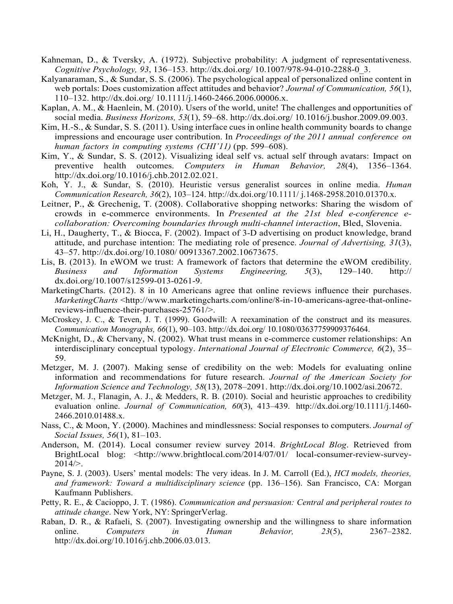- Kahneman, D., & Tversky, A. (1972). Subjective probability: A judgment of representativeness. *Cognitive Psychology, 93*, 136–153. [http://dx.doi.org/ 10.1007/978-94-010-2288-0\\_3.](http://dx.doi.org/10.1007/978-94-010-2288-0_3)
- Kalyanaraman, S., & Sundar, S. S. (2006). The psychological appeal of personalized online content in web portals: Does customization affect attitudes and behavior? *Journal of Communication, 56*(1), 110–132. [http://dx.doi.org/ 10.1111/j.1460-2466.2006.00006.x.](http://dx.doi.org/10.1111/j.1460-2466.2006.00006.x)
- Kaplan, A. M., & Haenlein, M. (2010). Users of the world, unite! The challenges and opportunities of social media. *Business Horizons, 53*(1), 59–68. [http://dx.doi.org/ 10.1016/j.bushor.2009.09.003.](http://dx.doi.org/10.1016/j.bushor.2009.09.003)
- Kim, H.-S., & Sundar, S. S. (2011). Using interface cues in online health community boards to change impressions and encourage user contribution. In *Proceedings of the 2011 annual conference on human factors in computing systems (CHI'11)* (pp. 599–608).
- Kim, Y., & Sundar, S. S. (2012). Visualizing ideal self vs. actual self through avatars: Impact on preventive health outcomes. *Computers in Human Behavior, 28*(4), 1356–1364. [http://dx.doi.org/10.1016/j.chb.2012.02.021.](http://dx.doi.org/10.1016/j.chb.2012.02.021)
- Koh, Y. J., & Sundar, S. (2010). Heuristic versus generalist sources in online media. *Human Communication Research, 36*(2), 103–124. [http://dx.doi.org/10.1111/ j.1468-2958.2010.01370.x.](http://dx.doi.org/10.1111/j.1468-2958.2010.01370.x)
- Leitner, P., & Grechenig, T. (2008). Collaborative shopping networks: Sharing the wisdom of  *collaboration: Overcoming boundaries through multi-channel interaction*, Bled, Slovenia. crowds in e-commerce environments. In *Presented at the 21st bled e-conference e-*
- Li, H., Daugherty, T., & Biocca, F. (2002). Impact of 3-D advertising on product knowledge, brand attitude, and purchase intention: The mediating role of presence. *Journal of Advertising, 31*(3), 43–57. [http://dx.doi.org/10.1080/ 00913367.2002.10673675.](http://dx.doi.org/10.1080/00913367.2002.10673675)
- Lis, B. (2013). In eWOM we trust: A framework of factors that determine the eWOM credibility. *Business and Information Systems Engineering, 5*(3), 129–140. [http://](http://dx.doi.org/10.1007/s12599-013-0261-9)  [dx.doi.org/10.1007/s12599-013-0261-9.](http://dx.doi.org/10.1007/s12599-013-0261-9)
- MarketingCharts. (2012). 8 in 10 Americans agree that online reviews influence their purchases. *MarketingCharts* [<http://www.marketingcharts.com/online/8-in-10-americans-agree-that-online](http://www.marketingcharts.com/online/8-in-10-americans-agree-that-online-reviews-influence-their-purchases-25761/)reviews-influence[-their-purchases-25761/>](http://www.marketingcharts.com/online/8-in-10-americans-agree-that-online-reviews-influence-their-purchases-25761/).
- McCroskey, J. C., & Teven, J. T. (1999). Goodwill: A reexamination of the construct and its measures. *Communication Monographs, 66*(1), 90–103[. http://dx.doi.org/ 10.1080/03637759909376464.](http://dx.doi.org/10.1080/03637759909376464)
- [McKnight, D., & Chervany, N. \(2002\). What trust means in e-commerce customer relationships: An](http://refhub.elsevier.com/S0747-5632(15)00179-X/h0165)  [interdisciplinary conceptual typology.](http://refhub.elsevier.com/S0747-5632(15)00179-X/h0165) *International Journal of [Electronic Commerce, 6](http://refhub.elsevier.com/S0747-5632(15)00179-X/h0165)*(2), 35– [59.](http://refhub.elsevier.com/S0747-5632(15)00179-X/h0165)
- Metzger, M. J. (2007). Making sense of credibility on the web: Models for evaluating online information and recommendations for future research. *Journal of the American Society for Information Science and Technology, 58*(13), 2078–2091. [http://dx.doi.org/10.1002/asi.20672.](http://dx.doi.org/10.1002/asi.20672)
- Metzger, M. J., Flanagin, A. J., & Medders, R. B. (2010). Social and heuristic approaches to credibility evaluation online. *Journal of Communication, 60*(3), 413–439. [http://dx.doi.org/10.1111/j.1460-](http://dx.doi.org/10.1111/j.1460-2466.2010.01488.x) [2466.2010.01488.x.](http://dx.doi.org/10.1111/j.1460-2466.2010.01488.x)
- [Nass, C., & Moon, Y. \(2000\). Machines and mindlessness: Social responses to computers.](http://refhub.elsevier.com/S0747-5632(15)00179-X/h0180) *Journal of [Social Issues, 56](http://refhub.elsevier.com/S0747-5632(15)00179-X/h0180)*(1), 81–103.
- Anderson, M. (2014). Local consumer review survey 2014. *BrightLocal Blog*. Retrieved from BrightLocal blog: [<http://www.brightlocal.com/2014/07/01/ local-consumer-review-survey-](http://www.brightlocal.com/2014/07/01/local-consumer-review-survey-2014/) $2014/$ .
- Payne, S. J. (2003). Users' [mental models: The](http://refhub.elsevier.com/S0747-5632(15)00179-X/h0190) very ideas. In J. M. Carroll (Ed.), *HCI [models, theories,](http://refhub.elsevier.com/S0747-5632(15)00179-X/h0190)  and framework: Toward a [multidisciplinary](http://refhub.elsevier.com/S0747-5632(15)00179-X/h0190) science* [\(pp. 136–156\). San Francisco, CA: Morgan](http://refhub.elsevier.com/S0747-5632(15)00179-X/h0190)  [Kaufmann Publishers.](http://refhub.elsevier.com/S0747-5632(15)00179-X/h0190)
- [Petty, R. E., & Cacioppo, J. T. \(1986\).](http://refhub.elsevier.com/S0747-5632(15)00179-X/h0195) *Communication and persuasion: Central and [peripheral routes to](http://refhub.elsevier.com/S0747-5632(15)00179-X/h0195)  attitude change*[. New York, NY: SpringerVerlag.](http://refhub.elsevier.com/S0747-5632(15)00179-X/h0195)
- Raban, D. R., & Rafaeli, S. (2007). Investigating ownership and the willingness to share information online. *Computers in Human Behavior, 23*(5), 2367–2382. [http://dx.doi.org/10.1016/j.chb.2006.03.013.](http://dx.doi.org/10.1016/j.chb.2006.03.013)